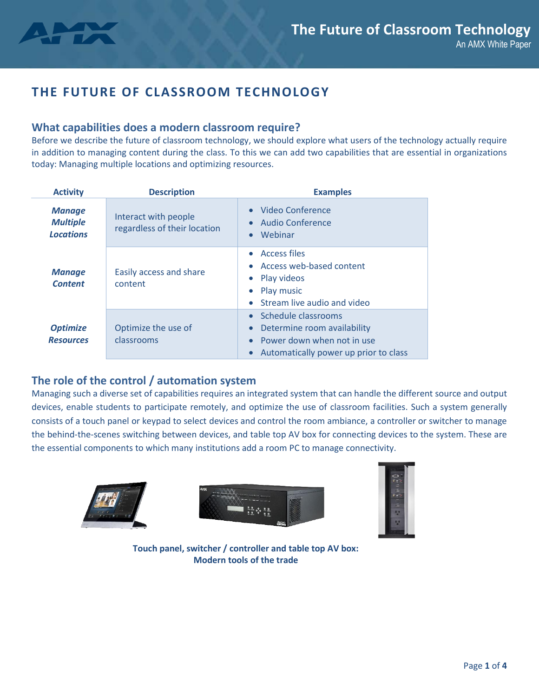

# **THE FUTURE OF CLASSROOM TECHNOLOGY**

### **What capabilities does a modern classroom require?**

Before we describe the future of classroom technology, we should explore what users of the technology actually require in addition to managing content during the class. To this we can add two capabilities that are essential in organizations today: Managing multiple locations and optimizing resources.

| <b>Activity</b>                                      | <b>Description</b>                                   | <b>Examples</b>                                                                                                              |  |
|------------------------------------------------------|------------------------------------------------------|------------------------------------------------------------------------------------------------------------------------------|--|
| <b>Manage</b><br><b>Multiple</b><br><b>Locations</b> | Interact with people<br>regardless of their location | • Video Conference<br>Audio Conference<br>Webinar                                                                            |  |
| <b>Manage</b><br><b>Content</b>                      | Easily access and share<br>content                   | <b>Access files</b><br>$\bullet$<br>• Access web-based content<br>• Play videos<br>Play music<br>Stream live audio and video |  |
| <b>Optimize</b><br><b>Resources</b>                  | Optimize the use of<br>classrooms                    | Schedule classrooms<br>Determine room availability<br>Power down when not in use<br>Automatically power up prior to class    |  |

## **The role of the control / automation system**

Managing such a diverse set of capabilities requires an integrated system that can handle the different source and output devices, enable students to participate remotely, and optimize the use of classroom facilities. Such a system generally consists of a touch panel or keypad to select devices and control the room ambiance, a controller or switcher to manage the behind-the-scenes switching between devices, and table top AV box for connecting devices to the system. These are the essential components to which many institutions add a room PC to manage connectivity.







**Touch panel, switcher / controller and table top AV box: Modern tools of the trade**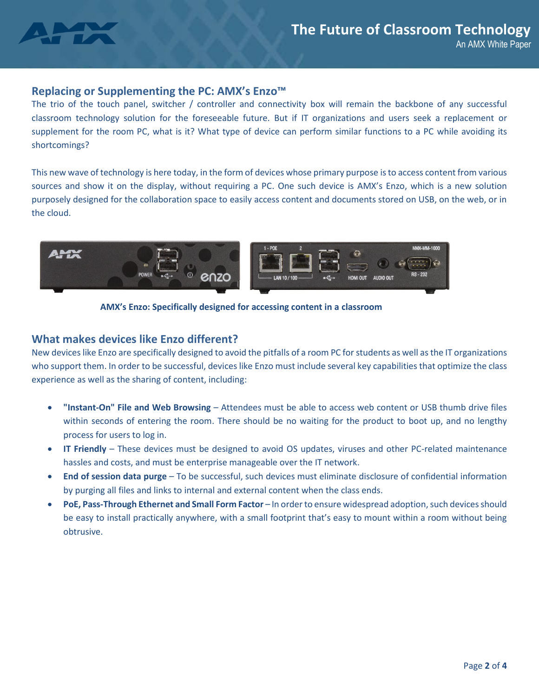

#### **Replacing or Supplementing the PC: AMX's Enzo™**

The trio of the touch panel, switcher / controller and connectivity box will remain the backbone of any successful classroom technology solution for the foreseeable future. But if IT organizations and users seek a replacement or supplement for the room PC, what is it? What type of device can perform similar functions to a PC while avoiding its shortcomings?

This new wave of technology is here today, in the form of devices whose primary purpose is to access content from various sources and show it on the display, without requiring a PC. One such device is AMX's Enzo, which is a new solution purposely designed for the collaboration space to easily access content and documents stored on USB, on the web, or in the cloud.



**AMX's Enzo: Specifically designed for accessing content in a classroom**

#### **What makes devices like Enzo different?**

New deviceslike Enzo are specifically designed to avoid the pitfalls of a room PC for students as well as the IT organizations who support them. In order to be successful, devices like Enzo must include several key capabilities that optimize the class experience as well as the sharing of content, including:

- **"Instant-On" File and Web Browsing** Attendees must be able to access web content or USB thumb drive files within seconds of entering the room. There should be no waiting for the product to boot up, and no lengthy process for users to log in.
- **IT Friendly** These devices must be designed to avoid OS updates, viruses and other PC-related maintenance hassles and costs, and must be enterprise manageable over the IT network.
- **End of session data purge** To be successful, such devices must eliminate disclosure of confidential information by purging all files and links to internal and external content when the class ends.
- **PoE, Pass-Through Ethernet and Small Form Factor**  In order to ensure widespread adoption, such devices should be easy to install practically anywhere, with a small footprint that's easy to mount within a room without being obtrusive.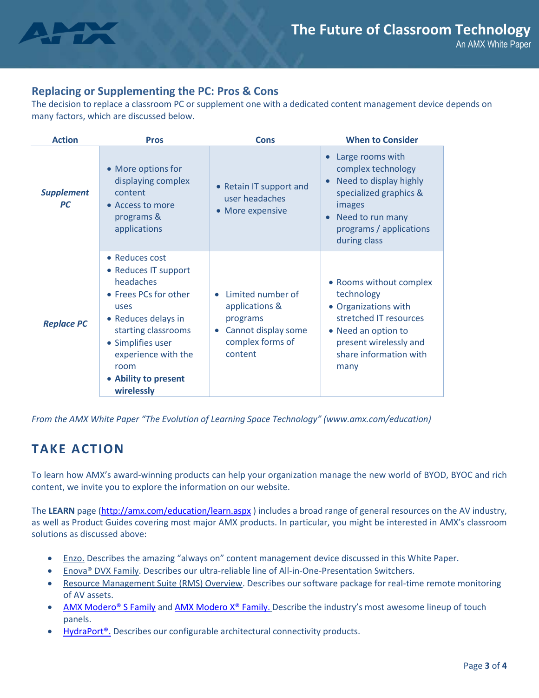

## **Replacing or Supplementing the PC: Pros & Cons**

The decision to replace a classroom PC or supplement one with a dedicated content management device depends on many factors, which are discussed below.

| <b>Action</b>                  | <b>Pros</b>                                                                                                                                                                                                                  | <b>Cons</b>                                                                                           | <b>When to Consider</b>                                                                                                                                                    |
|--------------------------------|------------------------------------------------------------------------------------------------------------------------------------------------------------------------------------------------------------------------------|-------------------------------------------------------------------------------------------------------|----------------------------------------------------------------------------------------------------------------------------------------------------------------------------|
| <b>Supplement</b><br><b>PC</b> | • More options for<br>displaying complex<br>content<br>• Access to more<br>programs &<br>applications                                                                                                                        | • Retain IT support and<br>user headaches<br>• More expensive                                         | Large rooms with<br>complex technology<br>Need to display highly<br>specialized graphics &<br>images<br>Need to run many<br>programs / applications<br>during class        |
| <b>Replace PC</b>              | • Reduces cost<br>• Reduces IT support<br>headaches<br>• Frees PCs for other<br>uses<br>• Reduces delays in<br>starting classrooms<br>• Simplifies user<br>experience with the<br>room<br>• Ability to present<br>wirelessly | Limited number of<br>applications &<br>programs<br>Cannot display some<br>complex forms of<br>content | • Rooms without complex<br>technology<br>• Organizations with<br>stretched IT resources<br>• Need an option to<br>present wirelessly and<br>share information with<br>many |

*From the AMX White Paper "The Evolution of Learning Space Technology" (www.amx.com/education)*

## **TAKE ACTION**

To learn how AMX's award-winning products can help your organization manage the new world of BYOD, BYOC and rich content, we invite you to explore the information on our website.

The **LEARN** page [\(http://amx.com/education/learn.aspx](http://amx.com/education/learn.aspx) ) includes a broad range of general resources on the AV industry, as well as Product Guides covering most major AMX products. In particular, you might be interested in AMX's classroom solutions as discussed above:

- **[Enzo.](http://www.amx.com/enzo/)** Describes the amazing "always on" content management device discussed in this White Paper.
- Enova® DVX Family. Describes our ultra-reliable line of All-in-One-Presentation Switchers.
- Resource Management Suite (RMS) Overview. Describes our software package for real-time remote monitoring of AV assets.
- [AMX Modero® S Family](http://www.amx.com/modero/s-series.aspx) an[d AMX Modero X® Family.](http://www.amx.com/modero/x-series.aspx) Describe the industry's most awesome lineup of touch panels.
- HydraPort<sup>®</sup>. Describes our configurable architectural connectivity products.